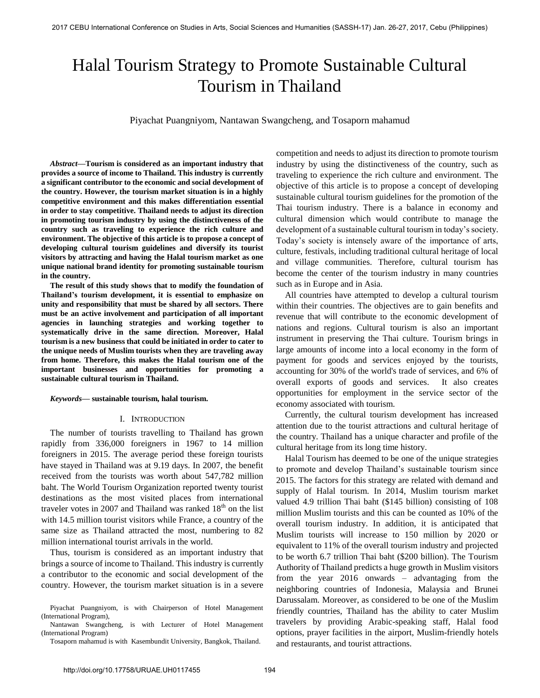# Halal Tourism Strategy to Promote Sustainable Cultural Tourism in Thailand

Piyachat Puangniyom, Nantawan Swangcheng, and Tosaporn mahamud

*Abstract***—Tourism is considered as an important industry that provides a source of income to Thailand. This industry is currently a significant contributor to the economic and social development of the country. However, the tourism market situation is in a highly competitive environment and this makes differentiation essential in order to stay competitive. Thailand needs to adjust its direction in promoting tourism industry by using the distinctiveness of the country such as traveling to experience the rich culture and environment. The objective of this article is to propose a concept of developing cultural tourism guidelines and diversify its tourist visitors by attracting and having the Halal tourism market as one unique national brand identity for promoting sustainable tourism in the country.** 

**The result of this study shows that to modify the foundation of Thailand's tourism development, it is essential to emphasize on unity and responsibility that must be shared by all sectors. There must be an active involvement and participation of all important agencies in launching strategies and working together to systematically drive in the same direction. Moreover, Halal tourism is a new business that could be initiated in order to cater to the unique needs of Muslim tourists when they are traveling away from home. Therefore, this makes the Halal tourism one of the important businesses and opportunities for promoting a sustainable cultural tourism in Thailand.** 

### *Keywords***— sustainable tourism, halal tourism.**

### I. INTRODUCTION

The number of tourists travelling to Thailand has grown rapidly from 336,000 foreigners in 1967 to 14 million foreigners in 2015. The average period these foreign tourists have stayed in Thailand was at 9.19 days. In 2007, the benefit received from the tourists was worth about 547,782 million baht. The World Tourism Organization reported twenty tourist destinations as the most visited places from international traveler votes in 2007 and Thailand was ranked  $18<sup>th</sup>$  on the list with 14.5 million tourist visitors while France, a country of the same size as Thailand attracted the most, numbering to 82 million international tourist arrivals in the world.

Thus, tourism is considered as an important industry that brings a source of income to Thailand. This industry is currently a contributor to the economic and social development of the country. However, the tourism market situation is in a severe

Nantawan Swangcheng, is with Lecturer of Hotel Management (International Program)

Tosaporn mahamud is with Kasembundit University, Bangkok, Thailand.

competition and needs to adjust its direction to promote tourism industry by using the distinctiveness of the country, such as traveling to experience the rich culture and environment. The objective of this article is to propose a concept of developing sustainable cultural tourism guidelines for the promotion of the Thai tourism industry. There is a balance in economy and cultural dimension which would contribute to manage the development of a sustainable cultural tourism in today's society. Today's society is intensely aware of the importance of arts, culture, festivals, including traditional cultural heritage of local and village communities. Therefore, cultural tourism has become the center of the tourism industry in many countries such as in Europe and in Asia.

All countries have attempted to develop a cultural tourism within their countries. The objectives are to gain benefits and revenue that will contribute to the economic development of nations and regions. Cultural tourism is also an important instrument in preserving the Thai culture. Tourism brings in large amounts of income into a local economy in the form of payment for goods and services enjoyed by the tourists, accounting for 30% of the world's trade of services, and 6% of overall exports of goods and services. It also creates opportunities for employment in the service sector of the economy associated with tourism.

Currently, the cultural tourism development has increased attention due to the tourist attractions and cultural heritage of the country. Thailand has a unique character and profile of the cultural heritage from its long time history.

Halal Tourism has deemed to be one of the unique strategies to promote and develop Thailand's sustainable tourism since 2015. The factors for this strategy are related with demand and supply of Halal tourism. In 2014, Muslim tourism market valued 4.9 trillion Thai baht (\$145 billion) consisting of 108 million Muslim tourists and this can be counted as 10% of the overall tourism industry. In addition, it is anticipated that Muslim tourists will increase to 150 million by 2020 or equivalent to 11% of the overall tourism industry and projected to be worth 6.7 trillion Thai baht (\$200 billion). The Tourism Authority of Thailand predicts a huge growth in Muslim visitors from the year 2016 onwards – advantaging from the neighboring countries of Indonesia, Malaysia and Brunei Darussalam. Moreover, as considered to be one of the Muslim friendly countries, Thailand has the ability to cater Muslim travelers by providing Arabic-speaking staff, Halal food options, prayer facilities in the airport, Muslim-friendly hotels and restaurants, and tourist attractions.

Piyachat Puangniyom, is with Chairperson of Hotel Management (International Program),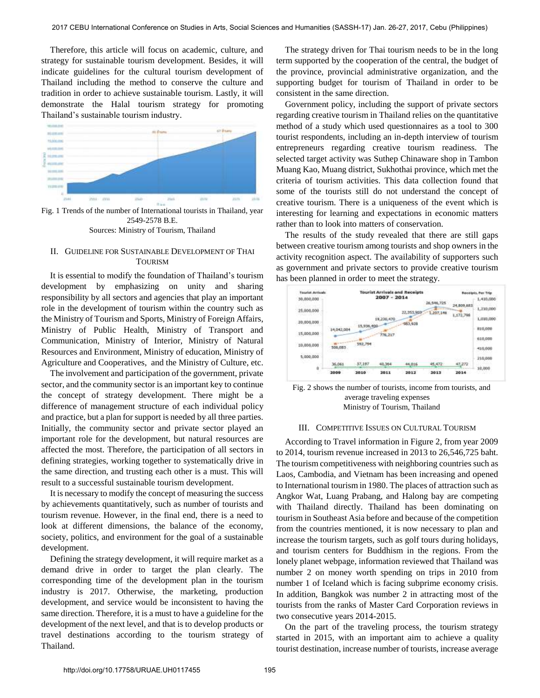Therefore, this article will focus on academic, culture, and strategy for sustainable tourism development. Besides, it will indicate guidelines for the cultural tourism development of Thailand including the method to conserve the culture and tradition in order to achieve sustainable tourism. Lastly, it will demonstrate the Halal tourism strategy for promoting Thailand's sustainable tourism industry.



Fig. 1 Trends of the number of International tourists in Thailand, year 2549-2578 B.E. Sources: Ministry of Tourism, Thailand

## II. GUIDELINE FOR SUSTAINABLE DEVELOPMENT OF THAI TOURISM

It is essential to modify the foundation of Thailand's tourism development by emphasizing on unity and sharing responsibility by all sectors and agencies that play an important role in the development of tourism within the country such as the Ministry of Tourism and Sports, Ministry of Foreign Affairs, Ministry of Public Health, Ministry of Transport and Communication, Ministry of Interior, Ministry of Natural Resources and Environment, Ministry of education, Ministry of Agriculture and Cooperatives, and the Ministry of Culture, etc.

The involvement and participation of the government, private sector, and the community sector is an important key to continue the concept of strategy development. There might be a difference of management structure of each individual policy and practice, but a plan for support is needed by all three parties. Initially, the community sector and private sector played an important role for the development, but natural resources are affected the most. Therefore, the participation of all sectors in defining strategies, working together to systematically drive in the same direction, and trusting each other is a must. This will result to a successful sustainable tourism development.

It is necessary to modify the concept of measuring the success by achievements quantitatively, such as number of tourists and tourism revenue. However, in the final end, there is a need to look at different dimensions, the balance of the economy, society, politics, and environment for the goal of a sustainable development.

Defining the strategy development, it will require market as a demand drive in order to target the plan clearly. The corresponding time of the development plan in the tourism industry is 2017. Otherwise, the marketing, production development, and service would be inconsistent to having the same direction. Therefore, it is a must to have a guideline for the development of the next level, and that is to develop products or travel destinations according to the tourism strategy of Thailand.

The strategy driven for Thai tourism needs to be in the long term supported by the cooperation of the central, the budget of the province, provincial administrative organization, and the supporting budget for tourism of Thailand in order to be consistent in the same direction.

Government policy, including the support of private sectors regarding creative tourism in Thailand relies on the quantitative method of a study which used questionnaires as a tool to 300 tourist respondents, including an in-depth interview of tourism entrepreneurs regarding creative tourism readiness. The selected target activity was Suthep Chinaware shop in Tambon Muang Kao, Muang district, Sukhothai province, which met the criteria of tourism activities. This data collection found that some of the tourists still do not understand the concept of creative tourism. There is a uniqueness of the event which is interesting for learning and expectations in economic matters rather than to look into matters of conservation.

The results of the study revealed that there are still gaps between creative tourism among tourists and shop owners in the activity recognition aspect. The availability of supporters such as government and private sectors to provide creative tourism has been planned in order to meet the strategy.



Fig. 2 shows the number of tourists, income from tourists, and average traveling expenses Ministry of Tourism, Thailand

## III. COMPETITIVE ISSUES ON CULTURAL TOURISM

According to Travel information in Figure 2, from year 2009 to 2014, tourism revenue increased in 2013 to 26,546,725 baht. The tourism competitiveness with neighboring countries such as Laos, Cambodia, and Vietnam has been increasing and opened to International tourism in 1980. The places of attraction such as Angkor Wat, Luang Prabang, and Halong bay are competing with Thailand directly. Thailand has been dominating on tourism in Southeast Asia before and because of the competition from the countries mentioned, it is now necessary to plan and increase the tourism targets, such as golf tours during holidays, and tourism centers for Buddhism in the regions. From the lonely planet webpage, information reviewed that Thailand was number 2 on money worth spending on trips in 2010 from number 1 of Iceland which is facing subprime economy crisis. In addition, Bangkok was number 2 in attracting most of the tourists from the ranks of Master Card Corporation reviews in two consecutive years 2014-2015.

On the part of the traveling process, the tourism strategy started in 2015, with an important aim to achieve a quality tourist destination, increase number of tourists, increase average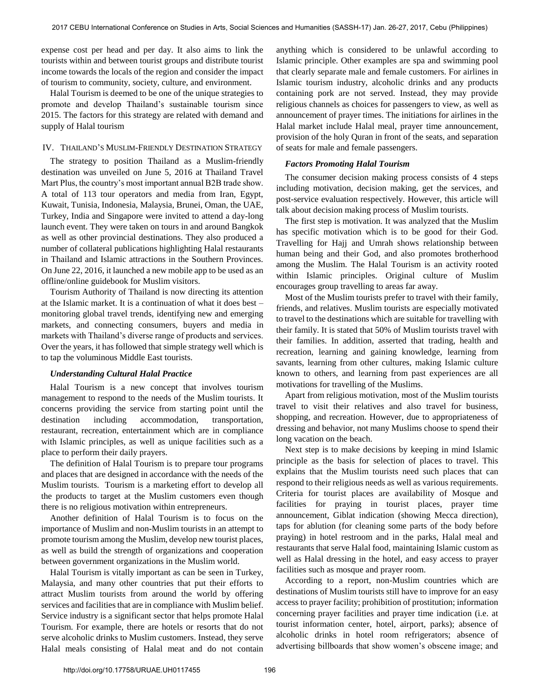expense cost per head and per day. It also aims to link the tourists within and between tourist groups and distribute tourist income towards the locals of the region and consider the impact of tourism to community, society, culture, and environment.

Halal Tourism is deemed to be one of the unique strategies to promote and develop Thailand's sustainable tourism since 2015. The factors for this strategy are related with demand and supply of Halal tourism

## IV. THAILAND'S MUSLIM-FRIENDLY DESTINATION STRATEGY

The strategy to position Thailand as a Muslim-friendly destination was unveiled on June 5, 2016 at Thailand Travel Mart Plus, the country's most important annual B2B trade show. A total of 113 tour operators and media from Iran, Egypt, Kuwait, Tunisia, Indonesia, Malaysia, Brunei, Oman, the UAE, Turkey, India and Singapore were invited to attend a day-long launch event. They were taken on tours in and around Bangkok as well as other provincial destinations. They also produced a number of collateral publications highlighting Halal restaurants in Thailand and Islamic attractions in the Southern Provinces. On June 22, 2016, it launched a new mobile app to be used as an offline/online guidebook for Muslim visitors.

Tourism Authority of Thailand is now directing its attention at the Islamic market. It is a continuation of what it does best – monitoring global travel trends, identifying new and emerging markets, and connecting consumers, buyers and media in markets with Thailand's diverse range of products and services. Over the years, it has followed that simple strategy well which is to tap the voluminous Middle East tourists.

### *Understanding Cultural Halal Practice*

Halal Tourism is a new concept that involves tourism management to respond to the needs of the Muslim tourists. It concerns providing the service from starting point until the destination including accommodation, transportation, restaurant, recreation, entertainment which are in compliance with Islamic principles, as well as unique facilities such as a place to perform their daily prayers.

The definition of Halal Tourism is to prepare tour programs and places that are designed in accordance with the needs of the Muslim tourists. Tourism is a marketing effort to develop all the products to target at the Muslim customers even though there is no religious motivation within entrepreneurs.

Another definition of Halal Tourism is to focus on the importance of Muslim and non-Muslim tourists in an attempt to promote tourism among the Muslim, develop new tourist places, as well as build the strength of organizations and cooperation between government organizations in the Muslim world.

Halal Tourism is vitally important as can be seen in Turkey, Malaysia, and many other countries that put their efforts to attract Muslim tourists from around the world by offering services and facilities that are in compliance with Muslim belief. Service industry is a significant sector that helps promote Halal Tourism. For example, there are hotels or resorts that do not serve alcoholic drinks to Muslim customers. Instead, they serve Halal meals consisting of Halal meat and do not contain

anything which is considered to be unlawful according to Islamic principle. Other examples are spa and swimming pool that clearly separate male and female customers. For airlines in Islamic tourism industry, alcoholic drinks and any products containing pork are not served. Instead, they may provide religious channels as choices for passengers to view, as well as announcement of prayer times. The initiations for airlines in the Halal market include Halal meal, prayer time announcement, provision of the holy Quran in front of the seats, and separation of seats for male and female passengers.

## *Factors Promoting Halal Tourism*

The consumer decision making process consists of 4 steps including motivation, decision making, get the services, and post-service evaluation respectively. However, this article will talk about decision making process of Muslim tourists.

The first step is motivation. It was analyzed that the Muslim has specific motivation which is to be good for their God. Travelling for Hajj and Umrah shows relationship between human being and their God, and also promotes brotherhood among the Muslim. The Halal Tourism is an activity rooted within Islamic principles. Original culture of Muslim encourages group travelling to areas far away.

Most of the Muslim tourists prefer to travel with their family, friends, and relatives. Muslim tourists are especially motivated to travel to the destinations which are suitable for travelling with their family. It is stated that 50% of Muslim tourists travel with their families. In addition, asserted that trading, health and recreation, learning and gaining knowledge, learning from savants, learning from other cultures, making Islamic culture known to others, and learning from past experiences are all motivations for travelling of the Muslims.

Apart from religious motivation, most of the Muslim tourists travel to visit their relatives and also travel for business, shopping, and recreation. However, due to appropriateness of dressing and behavior, not many Muslims choose to spend their long vacation on the beach.

Next step is to make decisions by keeping in mind Islamic principle as the basis for selection of places to travel. This explains that the Muslim tourists need such places that can respond to their religious needs as well as various requirements. Criteria for tourist places are availability of Mosque and facilities for praying in tourist places, prayer time announcement, Giblat indication (showing Mecca direction), taps for ablution (for cleaning some parts of the body before praying) in hotel restroom and in the parks, Halal meal and restaurants that serve Halal food, maintaining Islamic custom as well as Halal dressing in the hotel, and easy access to prayer facilities such as mosque and prayer room.

According to a report, non-Muslim countries which are destinations of Muslim tourists still have to improve for an easy access to prayer facility; prohibition of prostitution; information concerning prayer facilities and prayer time indication (i.e. at tourist information center, hotel, airport, parks); absence of alcoholic drinks in hotel room refrigerators; absence of advertising billboards that show women's obscene image; and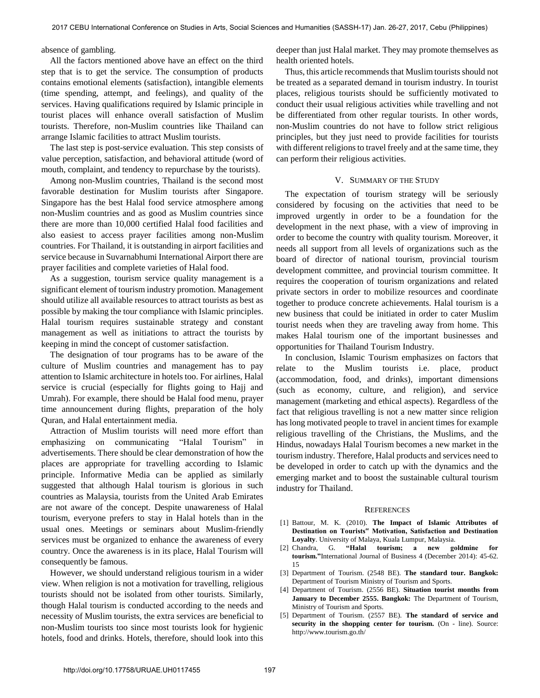absence of gambling.

All the factors mentioned above have an effect on the third step that is to get the service. The consumption of products contains emotional elements (satisfaction), intangible elements (time spending, attempt, and feelings), and quality of the services. Having qualifications required by Islamic principle in tourist places will enhance overall satisfaction of Muslim tourists. Therefore, non-Muslim countries like Thailand can arrange Islamic facilities to attract Muslim tourists.

The last step is post-service evaluation. This step consists of value perception, satisfaction, and behavioral attitude (word of mouth, complaint, and tendency to repurchase by the tourists).

Among non-Muslim countries, Thailand is the second most favorable destination for Muslim tourists after Singapore. Singapore has the best Halal food service atmosphere among non-Muslim countries and as good as Muslim countries since there are more than 10,000 certified Halal food facilities and also easiest to access prayer facilities among non-Muslim countries. For Thailand, it is outstanding in airport facilities and service because in Suvarnabhumi International Airport there are prayer facilities and complete varieties of Halal food.

As a suggestion, tourism service quality management is a significant element of tourism industry promotion. Management should utilize all available resources to attract tourists as best as possible by making the tour compliance with Islamic principles. Halal tourism requires sustainable strategy and constant management as well as initiations to attract the tourists by keeping in mind the concept of customer satisfaction.

The designation of tour programs has to be aware of the culture of Muslim countries and management has to pay attention to Islamic architecture in hotels too. For airlines, Halal service is crucial (especially for flights going to Hajj and Umrah). For example, there should be Halal food menu, prayer time announcement during flights, preparation of the holy Quran, and Halal entertainment media.

Attraction of Muslim tourists will need more effort than emphasizing on communicating "Halal Tourism" in advertisements. There should be clear demonstration of how the places are appropriate for travelling according to Islamic principle. Informative Media can be applied as similarly suggested that although Halal tourism is glorious in such countries as Malaysia, tourists from the United Arab Emirates are not aware of the concept. Despite unawareness of Halal tourism, everyone prefers to stay in Halal hotels than in the usual ones. Meetings or seminars about Muslim-friendly services must be organized to enhance the awareness of every country. Once the awareness is in its place, Halal Tourism will consequently be famous.

However, we should understand religious tourism in a wider view. When religion is not a motivation for travelling, religious tourists should not be isolated from other tourists. Similarly, though Halal tourism is conducted according to the needs and necessity of Muslim tourists, the extra services are beneficial to non-Muslim tourists too since most tourists look for hygienic hotels, food and drinks. Hotels, therefore, should look into this

deeper than just Halal market. They may promote themselves as health oriented hotels.

Thus, this article recommends that Muslim tourists should not be treated as a separated demand in tourism industry. In tourist places, religious tourists should be sufficiently motivated to conduct their usual religious activities while travelling and not be differentiated from other regular tourists. In other words, non-Muslim countries do not have to follow strict religious principles, but they just need to provide facilities for tourists with different religions to travel freely and at the same time, they can perform their religious activities.

## V. SUMMARY OF THE STUDY

The expectation of tourism strategy will be seriously considered by focusing on the activities that need to be improved urgently in order to be a foundation for the development in the next phase, with a view of improving in order to become the country with quality tourism. Moreover, it needs all support from all levels of organizations such as the board of director of national tourism, provincial tourism development committee, and provincial tourism committee. It requires the cooperation of tourism organizations and related private sectors in order to mobilize resources and coordinate together to produce concrete achievements. Halal tourism is a new business that could be initiated in order to cater Muslim tourist needs when they are traveling away from home. This makes Halal tourism one of the important businesses and opportunities for Thailand Tourism Industry.

In conclusion, Islamic Tourism emphasizes on factors that relate to the Muslim tourists i.e. place, product (accommodation, food, and drinks), important dimensions (such as economy, culture, and religion), and service management (marketing and ethical aspects). Regardless of the fact that religious travelling is not a new matter since religion has long motivated people to travel in ancient times for example religious travelling of the Christians, the Muslims, and the Hindus, nowadays Halal Tourism becomes a new market in the tourism industry. Therefore, Halal products and services need to be developed in order to catch up with the dynamics and the emerging market and to boost the sustainable cultural tourism industry for Thailand.

#### **REFERENCES**

- [1] Battour, M. K. (2010). **The Impact of Islamic Attributes of Destination on Tourists" Motivation, Satisfaction and Destination Loyalty**. University of Malaya, Kuala Lumpur, Malaysia.
- [2] Chandra, G. **"Halal tourism; a new goldmine for tourism."**International Journal of Business 4 (December 2014): 45-62. 15
- [3] Department of Tourism. (2548 BE). **The standard tour. Bangkok:** Department of Tourism Ministry of Tourism and Sports.
- [4] Department of Tourism. (2556 BE). **Situation tourist months from January to December 2555. Bangkok:** The Department of Tourism, Ministry of Tourism and Sports.
- [5] Department of Tourism. (2557 BE). **The standard of service and security in the shopping center for tourism.** (On - line). Source: http://www.tourism.go.th/